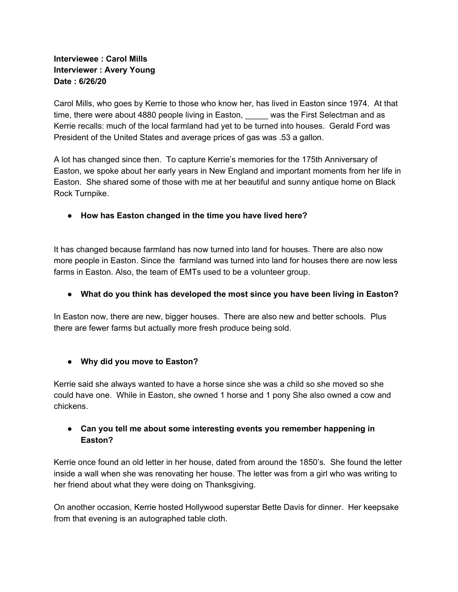#### **Interviewee : Carol Mills Interviewer : Avery Young Date : 6/26/20**

Carol Mills, who goes by Kerrie to those who know her, has lived in Easton since 1974. At that time, there were about 4880 people living in Easton, was the First Selectman and as Kerrie recalls: much of the local farmland had yet to be turned into houses. Gerald Ford was President of the United States and average prices of gas was .53 a gallon.

A lot has changed since then. To capture Kerrie's memories for the 175th Anniversary of Easton, we spoke about her early years in New England and important moments from her life in Easton. She shared some of those with me at her beautiful and sunny antique home on Black Rock Turnpike.

**● How has Easton changed in the time you have lived here?**

It has changed because farmland has now turned into land for houses. There are also now more people in Easton. Since the farmland was turned into land for houses there are now less farms in Easton. Also, the team of EMTs used to be a volunteer group.

**● What do you think has developed the most since you have been living in Easton?**

In Easton now, there are new, bigger houses. There are also new and better schools. Plus there are fewer farms but actually more fresh produce being sold.

**● Why did you move to Easton?**

Kerrie said she always wanted to have a horse since she was a child so she moved so she could have one. While in Easton, she owned 1 horse and 1 pony She also owned a cow and chickens.

## **● Can you tell me about some interesting events you remember happening in Easton?**

Kerrie once found an old letter in her house, dated from around the 1850's. She found the letter inside a wall when she was renovating her house. The letter was from a girl who was writing to her friend about what they were doing on Thanksgiving.

On another occasion, Kerrie hosted Hollywood superstar Bette Davis for dinner. Her keepsake from that evening is an autographed table cloth.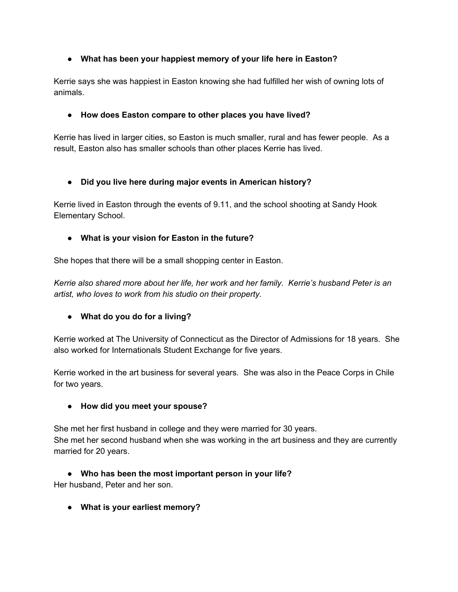## **● What has been your happiest memory of your life here in Easton?**

Kerrie says she was happiest in Easton knowing she had fulfilled her wish of owning lots of animals.

#### **● How does Easton compare to other places you have lived?**

Kerrie has lived in larger cities, so Easton is much smaller, rural and has fewer people. As a result, Easton also has smaller schools than other places Kerrie has lived.

## **● Did you live here during major events in American history?**

Kerrie lived in Easton through the events of 9.11, and the school shooting at Sandy Hook Elementary School.

## **● What is your vision for Easton in the future?**

She hopes that there will be a small shopping center in Easton.

*Kerrie also shared more about her life, her work and her family. Kerrie's husband Peter is an artist, who loves to work from his studio on their property.*

# **● What do you do for a living?**

Kerrie worked at The University of Connecticut as the Director of Admissions for 18 years. She also worked for Internationals Student Exchange for five years.

Kerrie worked in the art business for several years. She was also in the Peace Corps in Chile for two years.

#### **● How did you meet your spouse?**

She met her first husband in college and they were married for 30 years. She met her second husband when she was working in the art business and they are currently married for 20 years.

**● Who has been the most important person in your life?** Her husband, Peter and her son.

**● What is your earliest memory?**